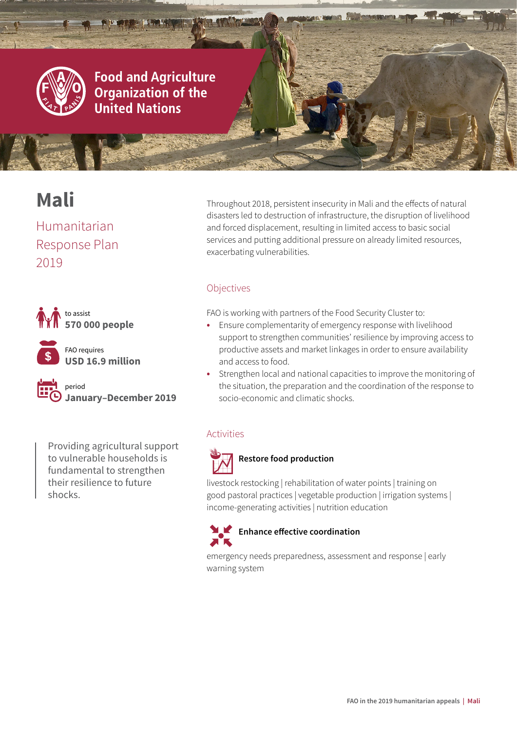

## **Food and Agriculture Organization of the United Nations**

# **Mali**

Humanitarian Response Plan 2019





FAO requires **USD 16.9 million**

period **January–December 2019**

Providing agricultural support to vulnerable households is fundamental to strengthen their resilience to future shocks.

Throughout 2018, persistent insecurity in Mali and the effects of natural disasters led to destruction of infrastructure, the disruption of livelihood and forced displacement, resulting in limited access to basic social services and putting additional pressure on already limited resources, exacerbating vulnerabilities.

© FAO/Mali

## Objectives

FAO is working with partners of the Food Security Cluster to:

- **•** Ensure complementarity of emergency response with livelihood support to strengthen communities' resilience by improving access to productive assets and market linkages in order to ensure availability and access to food.
- **•** Strengthen local and national capacities to improve the monitoring of the situation, the preparation and the coordination of the response to socio-economic and climatic shocks.

### Activities



## **Restore food production**

livestock restocking | rehabilitation of water points | training on good pastoral practices | vegetable production | irrigation systems | income-generating activities | nutrition education



emergency needs preparedness, assessment and response | early warning system